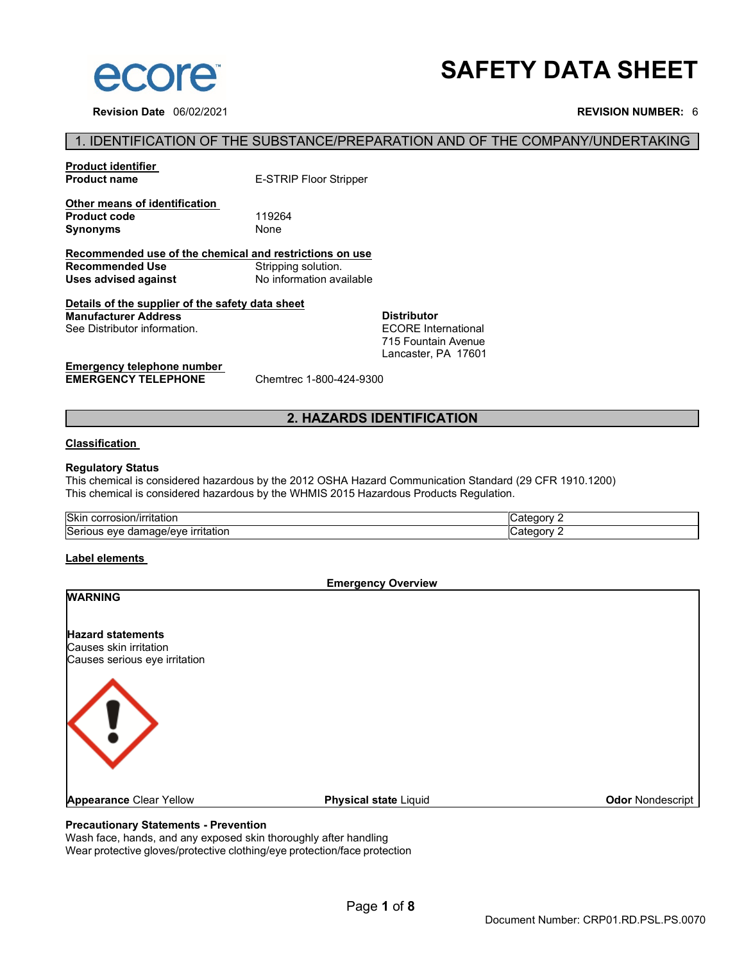

**Revision Date** 06/02/2021 **REVISION NUMBER:** 6

# **SAFETY DATA SHEET**

#### 1. IDENTIFICATION OF THE SUBSTANCE/PREPARATION AND OF THE COMPANY/UNDERTAKING

# **Product identifier**

**Uses advised against** 

**E-STRIP Floor Stripper** 

**Other means of identification Product code** 119264 **Synonyms** None

# **Recommended use of the chemical and restrictions on use**

**Stripping solution.**<br>No information available

#### **Details of the supplier of the safety data sheet Manufacturer Address** See Distributor information.

**Distributor** ECORE International 715 Fountain Avenue Lancaster, PA 17601

**Emergency telephone number EMERGENCY TELEPHONE** Chemtrec 1-800-424-9300

## **2. HAZARDS IDENTIFICATION**

#### **Classification**

#### **Regulatory Status**

This chemical is considered hazardous by the 2012 OSHA Hazard Communication Standard (29 CFR 1910.1200) This chemical is considered hazardous by the WHMIS 2015 Hazardous Products Regulation.

| <b>Skir</b><br>. .<br>/irritation<br>corrosion<br>' 1/ I I        | .<br>atedory. |
|-------------------------------------------------------------------|---------------|
| $\sim$<br>ırrıtatıor<br>lSer<br>eve<br>11 I C<br>qamaqe/eve<br>uə | .<br>aregory  |

#### **Label elements**

**Emergency Overview**

| <b>WARNING</b>                                                                      |                              |                         |
|-------------------------------------------------------------------------------------|------------------------------|-------------------------|
| <b>Hazard statements</b><br>Causes skin irritation<br>Causes serious eye irritation |                              |                         |
|                                                                                     |                              |                         |
| <b>Appearance Clear Yellow</b>                                                      | <b>Physical state Liquid</b> | <b>Odor Nondescript</b> |

#### **Precautionary Statements - Prevention**

Wash face, hands, and any exposed skin thoroughly after handling Wear protective gloves/protective clothing/eye protection/face protection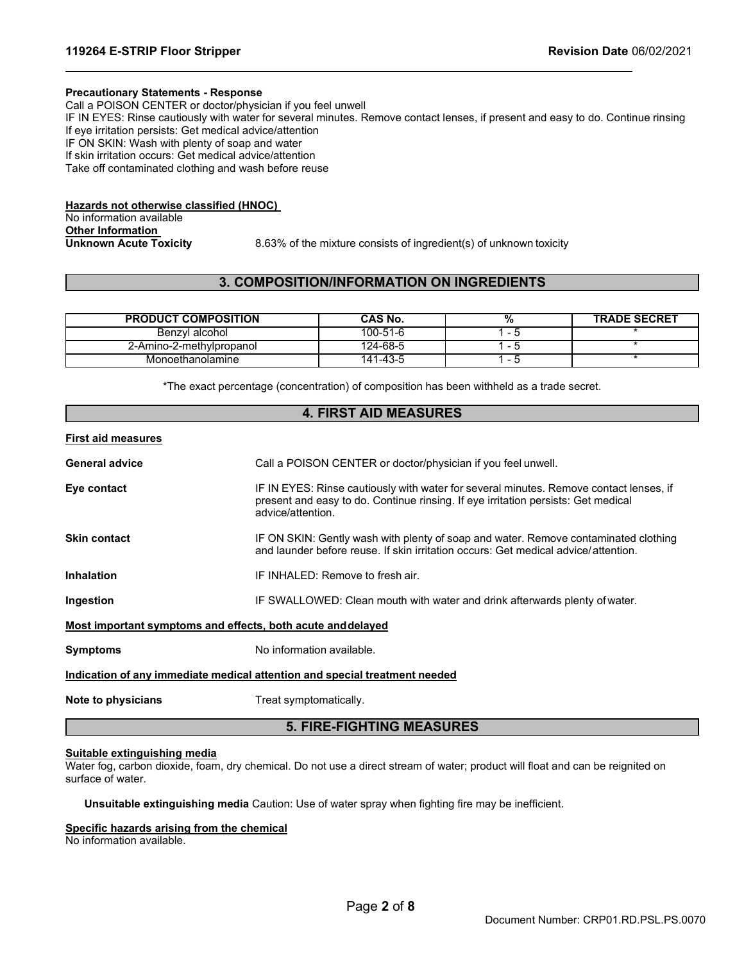#### **Precautionary Statements - Response**

Call a POISON CENTER or doctor/physician if you feel unwell

IF IN EYES: Rinse cautiously with water for several minutes. Remove contact lenses, if present and easy to do. Continue rinsing If eye irritation persists: Get medical advice/attention

IF ON SKIN: Wash with plenty of soap and water If skin irritation occurs: Get medical advice/attention

Take off contaminated clothing and wash before reuse

### **Hazards not otherwise classified (HNOC)**

#### No information available

**Other Information** 

**Unknown Acute Toxicity** 8.63% of the mixture consists of ingredient(s) of unknown toxicity

### **3. COMPOSITION/INFORMATION ON INGREDIENTS**

| <b>PRODUCT COMPOSITION</b> | CAS No.  |                          | <b>TRADE SECRET</b> |
|----------------------------|----------|--------------------------|---------------------|
| Benzvl alcohol             | 100-51-6 | $\overline{\phantom{a}}$ |                     |
| 2-Amino-2-methylpropanol   | 124-68-5 | $\overline{\phantom{0}}$ |                     |
| Monoethanolamine           | 141-43-5 | - 0                      |                     |

\*The exact percentage (concentration) of composition has been withheld as a trade secret.

| <b>4. FIRST AID MEASURES</b>                                               |                                                                                                                                                                                                  |  |
|----------------------------------------------------------------------------|--------------------------------------------------------------------------------------------------------------------------------------------------------------------------------------------------|--|
| <b>First aid measures</b>                                                  |                                                                                                                                                                                                  |  |
| <b>General advice</b>                                                      | Call a POISON CENTER or doctor/physician if you feel unwell.                                                                                                                                     |  |
| Eye contact                                                                | IF IN EYES: Rinse cautiously with water for several minutes. Remove contact lenses, if<br>present and easy to do. Continue rinsing. If eye irritation persists: Get medical<br>advice/attention. |  |
| <b>Skin contact</b>                                                        | IF ON SKIN: Gently wash with plenty of soap and water. Remove contaminated clothing<br>and launder before reuse. If skin irritation occurs: Get medical advice/attention.                        |  |
| Inhalation                                                                 | IF INHALFD: Remove to fresh air.                                                                                                                                                                 |  |
| Ingestion                                                                  | IF SWALLOWED: Clean mouth with water and drink afterwards plenty of water.                                                                                                                       |  |
| Most important symptoms and effects, both acute and delayed                |                                                                                                                                                                                                  |  |
| <b>Symptoms</b>                                                            | No information available.                                                                                                                                                                        |  |
| Indication of any immediate medical attention and special treatment needed |                                                                                                                                                                                                  |  |
| Note to physicians                                                         | Treat symptomatically.                                                                                                                                                                           |  |
| <b>5. FIRE-FIGHTING MEASURES</b>                                           |                                                                                                                                                                                                  |  |

#### **Suitable extinguishing media**

Water fog, carbon dioxide, foam, dry chemical. Do not use a direct stream of water; product will float and can be reignited on surface of water.

**Unsuitable extinguishing media** Caution: Use of water spray when fighting fire may be inefficient.

#### **Specific hazards arising from the chemical**

No information available.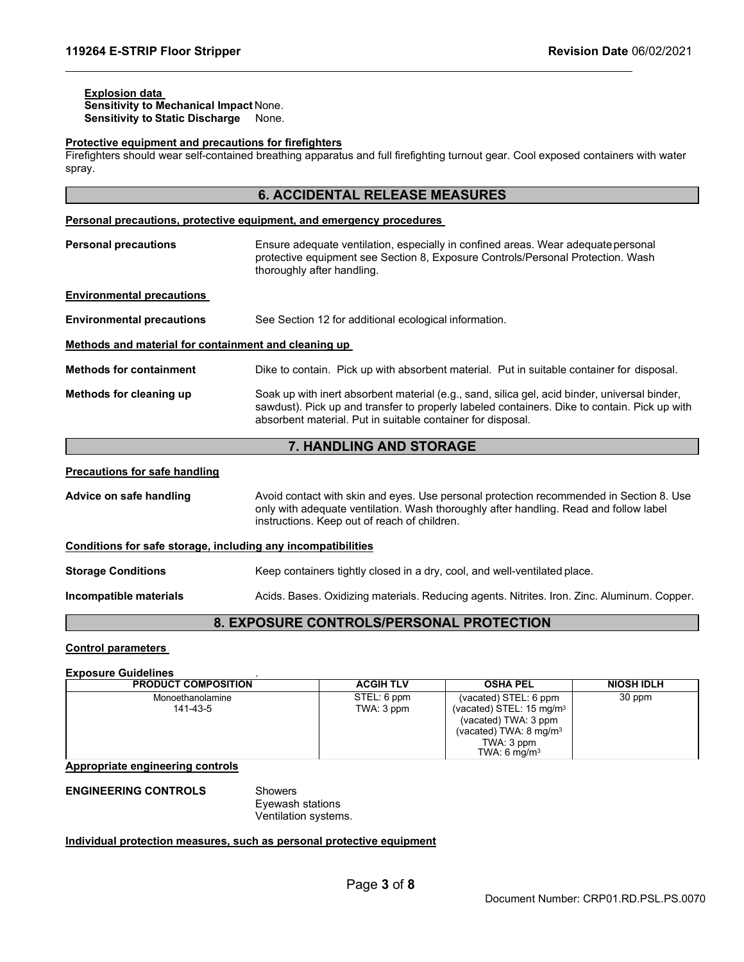# **Explosion data**

**Sensitivity to Mechanical Impact** None. **Sensitivity to Static Discharge** None.

#### **Protective equipment and precautions for firefighters**

Firefighters should wear self-contained breathing apparatus and full firefighting turnout gear. Cool exposed containers with water spray.

|                                                                      | <b>6. ACCIDENTAL RELEASE MEASURES</b>                                                                                                                                                                                                                        |  |
|----------------------------------------------------------------------|--------------------------------------------------------------------------------------------------------------------------------------------------------------------------------------------------------------------------------------------------------------|--|
| Personal precautions, protective equipment, and emergency procedures |                                                                                                                                                                                                                                                              |  |
| <b>Personal precautions</b>                                          | Ensure adequate ventilation, especially in confined areas. Wear adequate personal<br>protective equipment see Section 8, Exposure Controls/Personal Protection. Wash<br>thoroughly after handling.                                                           |  |
| <b>Environmental precautions</b>                                     |                                                                                                                                                                                                                                                              |  |
| <b>Environmental precautions</b>                                     | See Section 12 for additional ecological information.                                                                                                                                                                                                        |  |
| Methods and material for containment and cleaning up                 |                                                                                                                                                                                                                                                              |  |
| <b>Methods for containment</b>                                       | Dike to contain. Pick up with absorbent material. Put in suitable container for disposal.                                                                                                                                                                    |  |
| Methods for cleaning up                                              | Soak up with inert absorbent material (e.g., sand, silica gel, acid binder, universal binder,<br>sawdust). Pick up and transfer to properly labeled containers. Dike to contain. Pick up with<br>absorbent material. Put in suitable container for disposal. |  |
|                                                                      | 7. HANDLING AND STORAGE                                                                                                                                                                                                                                      |  |
| <b>Precautions for safe handling</b>                                 |                                                                                                                                                                                                                                                              |  |
| Advice on safe handling                                              | Avoid contact with skin and eyes. Use personal protection recommended in Section 8. Use<br>only with adequate ventilation. Wash thoroughly after handling. Read and follow label<br>instructions. Keep out of reach of children.                             |  |
| Conditions for safe storage, including any incompatibilities         |                                                                                                                                                                                                                                                              |  |
| <b>Storage Conditions</b>                                            | Keep containers tightly closed in a dry, cool, and well-ventilated place.                                                                                                                                                                                    |  |
| Incompatible materials                                               | Acids. Bases. Oxidizing materials. Reducing agents. Nitrites. Iron. Zinc. Aluminum. Copper.<br>.                                                                                                                                                             |  |

#### **8. EXPOSURE CONTROLS/PERSONAL PROTECTION**

#### **Control parameters**

#### **Exposure Guidelines** .

| <b>PRODUCT COMPOSITION</b>   | <b>ACGIH TLV</b>          | <b>OSHA PEL</b>                                                                                                                                                    | <b>NIOSH IDLH</b> |
|------------------------------|---------------------------|--------------------------------------------------------------------------------------------------------------------------------------------------------------------|-------------------|
| Monoethanolamine<br>141-43-5 | STEL: 6 ppm<br>TWA: 3 ppm | (vacated) STEL: 6 ppm<br>(vacated) STEL: $15 \text{ mg/m}^3$<br>(vacated) TWA: 3 ppm<br>(vacated) TWA: $8 \text{ mg/m}^3$<br>TWA: 3 ppm<br>TWA: $6 \text{ mg/m}^3$ | 30 ppm            |

**Appropriate engineering controls**

# **ENGINEERING CONTROLS** Showers

Eyewash stations Ventilation systems.

#### **Individual protection measures, such as personal protective equipment**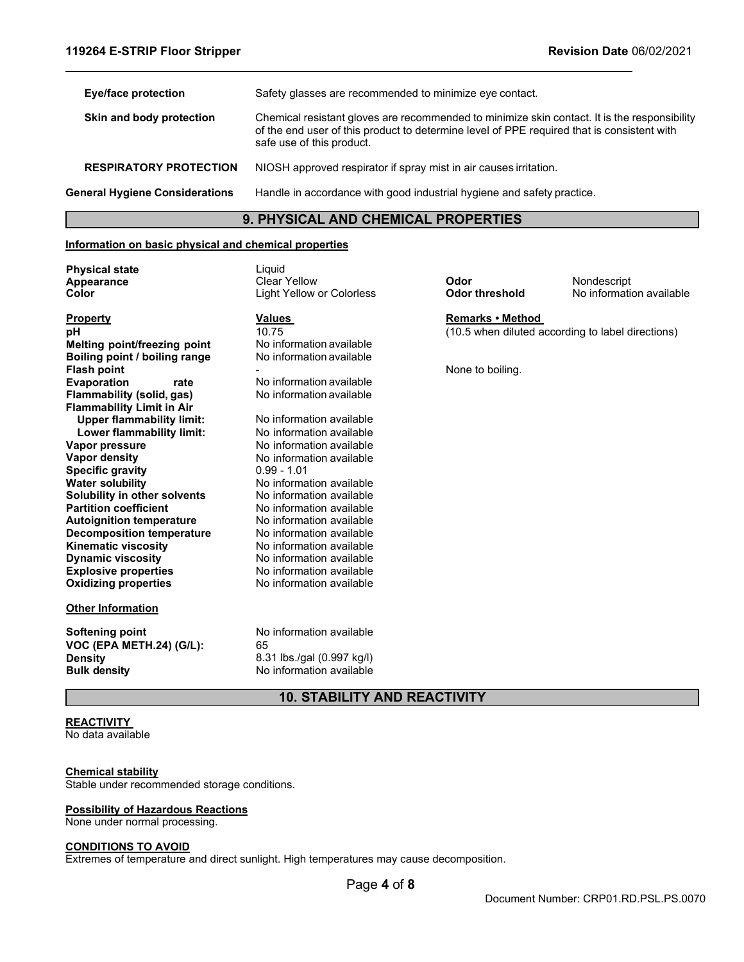| <b>Eye/face protection</b>            | Safety glasses are recommended to minimize eye contact.                                                                                                                                                                 |
|---------------------------------------|-------------------------------------------------------------------------------------------------------------------------------------------------------------------------------------------------------------------------|
| Skin and body protection              | Chemical resistant gloves are recommended to minimize skin contact. It is the responsibility<br>of the end user of this product to determine level of PPE required that is consistent with<br>safe use of this product. |
| <b>RESPIRATORY PROTECTION</b>         | NIOSH approved respirator if spray mist in air causes irritation.                                                                                                                                                       |
| <b>General Hygiene Considerations</b> | Handle in accordance with good industrial hygiene and safety practice.                                                                                                                                                  |

#### **9. PHYSICAL AND CHEMICAL PROPERTIES**

#### **Information on basic physical and chemical properties**

Liquid

**Light Yellow or Colorless** 

**Physical state Appearance**

| <b>Property</b>                  | Values                     |
|----------------------------------|----------------------------|
| рH                               | 10.75                      |
| Melting point/freezing point     | No information available   |
| Boiling point / boiling range    | No information available   |
| <b>Flash point</b>               |                            |
| Evaporation<br>rate              | No information available   |
| <b>Flammability (solid, gas)</b> | No information available   |
| <b>Flammability Limit in Air</b> |                            |
| <b>Upper flammability limit:</b> | No information available   |
| Lower flammability limit:        | No information available   |
| Vapor pressure                   | No information available   |
| Vapor density                    | No information available   |
| <b>Specific gravity</b>          | $0.99 - 1.01$              |
| <b>Water solubility</b>          | No information available   |
| Solubility in other solvents     | No information available   |
| <b>Partition coefficient</b>     | No information available   |
| <b>Autoignition temperature</b>  | No information available   |
| <b>Decomposition temperature</b> | No information available   |
| <b>Kinematic viscosity</b>       | No information available   |
| <b>Dynamic viscosity</b>         | No information available   |
| <b>Explosive properties</b>      | No information available   |
| <b>Oxidizing properties</b>      | No information available   |
|                                  |                            |
| <b>Other Information</b>         |                            |
| <b>Softening point</b>           | No information available   |
|                                  | 65                         |
| VOC (EPA METH.24) (G/L):         |                            |
| <b>Density</b>                   | 8.31 lbs./gal (0.997 kg/l) |
| <b>Bulk density</b>              | No information available   |

Clear Yellow **Conduct Clear Yellow**<br> **Conduct Colocal Conduct Clear threshold** Moinformation available

#### **Remarks • Method**

(10.5 when diluted according to label directions)

None to boiling.

## **10. STABILITY AND REACTIVITY**

# **REACTIVITY**

No data available

#### **Chemical stability**

Stable under recommended storage conditions.

#### **Possibility of Hazardous Reactions**

None under normal processing.

# **CONDITIONS TO AVOID**

Extremes of temperature and direct sunlight. High temperatures may cause decomposition.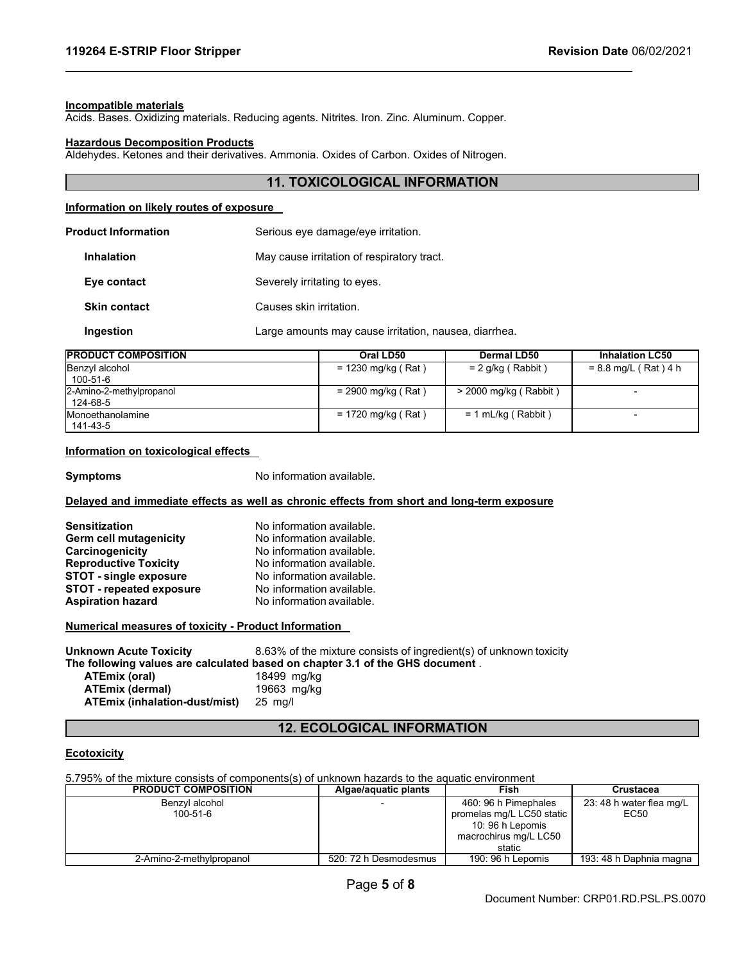#### **Incompatible materials**

Acids. Bases. Oxidizing materials. Reducing agents. Nitrites. Iron. Zinc. Aluminum. Copper.

#### **Hazardous Decomposition Products**

Aldehydes. Ketones and their derivatives. Ammonia. Oxides of Carbon. Oxides of Nitrogen.

### **11. TOXICOLOGICAL INFORMATION**

#### **Information on likely routes of exposure**

| Product Information | Serious eye damage/eye irritation.                    |
|---------------------|-------------------------------------------------------|
| <b>Inhalation</b>   | May cause irritation of respiratory tract.            |
| Eye contact         | Severely irritating to eyes.                          |
| <b>Skin contact</b> | Causes skin irritation.                               |
| Ingestion           | Large amounts may cause irritation, nausea, diarrhea. |

| <b>PRODUCT COMPOSITION</b>           | Oral LD50            | Dermal LD50             | <b>Inhalation LC50</b> |
|--------------------------------------|----------------------|-------------------------|------------------------|
| Benzyl alcohol<br>100-51-6           | $= 1230$ mg/kg (Rat) | = 2 g/kg ( Rabbit )     | $= 8.8$ mg/L (Rat) 4 h |
| 2-Amino-2-methylpropanol<br>124-68-5 | $= 2900$ mg/kg (Rat) | > 2000 mg/kg ( Rabbit ) |                        |
| Monoethanolamine<br>141-43-5         | $= 1720$ mg/kg (Rat) | $= 1$ mL/kg (Rabbit)    |                        |

#### **Information on toxicological effects**

**Symptoms** No information available.

#### **Delayed and immediate effects as well as chronic effects from short and long-term exposure**

| <b>Sensitization</b>            | No information available. |
|---------------------------------|---------------------------|
| Germ cell mutagenicity          | No information available. |
| Carcinogenicity                 | No information available. |
| <b>Reproductive Toxicity</b>    | No information available. |
| <b>STOT - single exposure</b>   | No information available. |
| <b>STOT - repeated exposure</b> | No information available. |
| <b>Aspiration hazard</b>        | No information available. |

#### **Numerical measures of toxicity - Product Information**

| <b>Unknown Acute Toxicity</b> | 8.63% of the mixture consists of ingredient(s) of unknown toxicity            |
|-------------------------------|-------------------------------------------------------------------------------|
|                               | The following values are calculated based on chapter 3.1 of the GHS document. |
| <b>ATEmix (oral)</b>          | 18499 mg/kg                                                                   |
| <b>ATEmix (dermal)</b>        | 19663 mg/kg                                                                   |
| ATEmix (inhalation-dust/mist) | 25 ma/l                                                                       |

# **12. ECOLOGICAL INFORMATION**

#### **Ecotoxicity**

5.795% of the mixture consists of components(s) of unknown hazards to the aquatic environment

| <b>PRODUCT COMPOSITION</b> | Algae/aquatic plants      | Fish                  | <b>Crustacea</b>         |
|----------------------------|---------------------------|-----------------------|--------------------------|
| Benzyl alcohol             |                           | 460: 96 h Pimephales  | 23: 48 h water flea mg/L |
| 100-51-6                   | promelas mg/L LC50 static |                       | EC50                     |
|                            |                           | 10: 96 h Lepomis      |                          |
|                            |                           | macrochirus mg/L LC50 |                          |
|                            |                           | static                |                          |
| 2-Amino-2-methylpropanol   | 520: 72 h Desmodesmus     | 190: 96 h Lepomis     | 193: 48 h Daphnia magna  |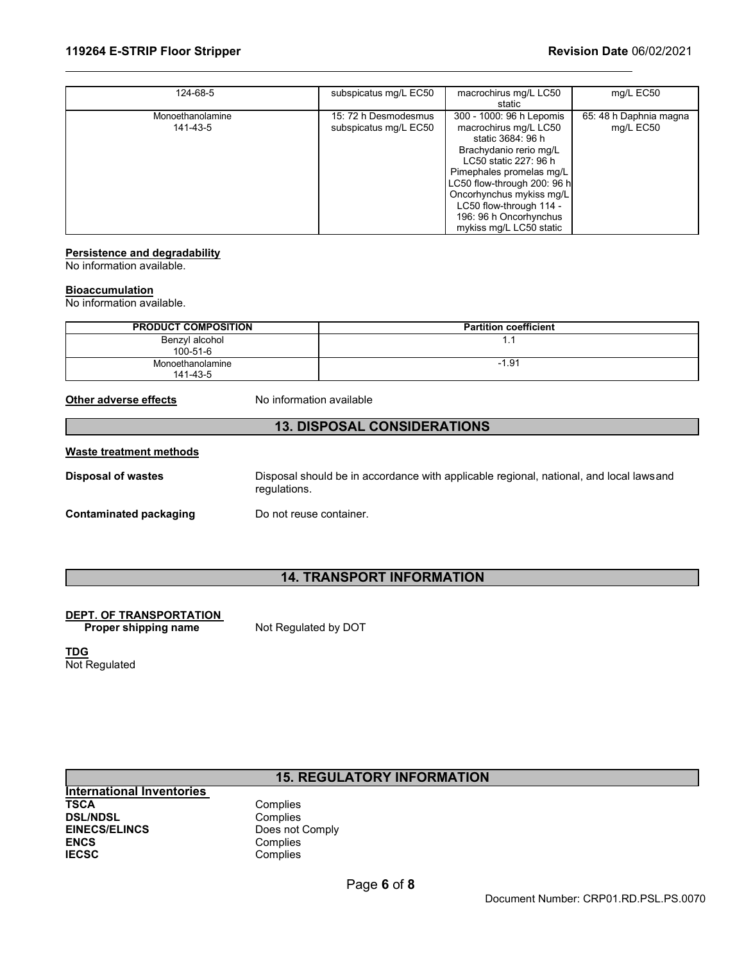| 124-68-5         | subspicatus mg/L EC50 | macrochirus mg/L LC50       | mg/L EC50              |
|------------------|-----------------------|-----------------------------|------------------------|
|                  |                       | static                      |                        |
|                  |                       |                             |                        |
| Monoethanolamine | 15: 72 h Desmodesmus  | 300 - 1000: 96 h Lepomis    | 65: 48 h Daphnia magna |
| 141-43-5         | subspicatus mg/L EC50 | macrochirus mg/L LC50       | mg/L EC50              |
|                  |                       | static 3684: 96 h           |                        |
|                  |                       | Brachydanio rerio mg/L      |                        |
|                  |                       | LC50 static 227: 96 h       |                        |
|                  |                       | Pimephales promelas mg/L    |                        |
|                  |                       | LC50 flow-through 200: 96 h |                        |
|                  |                       | Oncorhynchus mykiss mg/L    |                        |
|                  |                       | LC50 flow-through 114 -     |                        |
|                  |                       | 196: 96 h Oncorhynchus      |                        |
|                  |                       | mykiss mg/L LC50 static     |                        |

**Persistence and degradability**

No information available.

#### **Bioaccumulation**

No information available.

| <b>PRODUCT COMPOSITION</b> | <b>Partition coefficient</b> |
|----------------------------|------------------------------|
| Benzyl alcohol             |                              |
| 100-51-6                   |                              |
| Monoethanolamine           | $-1.91$                      |
| 141-43-5                   |                              |

**Other adverse effects** No information available

# **13. DISPOSAL CONSIDERATIONS**

| Waste treatment methods |                                                                                                         |
|-------------------------|---------------------------------------------------------------------------------------------------------|
| Disposal of wastes      | Disposal should be in accordance with applicable regional, national, and local laws and<br>regulations. |
| Contaminated packaging  | Do not reuse container.                                                                                 |

# **14. TRANSPORT INFORMATION**

**DEPT. OF TRANSPORTATION** 

**Proper shipping name** Not Regulated by DOT

**TDG**

Not Regulated

# **15. REGULATORY INFORMATION**

**International Inventories DSL/NDSL<br>EINECS/ELINCS EINECS/ELINCS** Does not Comply<br> **ENCS** Complies ENCS Complies<br> **IECSC** Complies

Complies<br>Complies Complies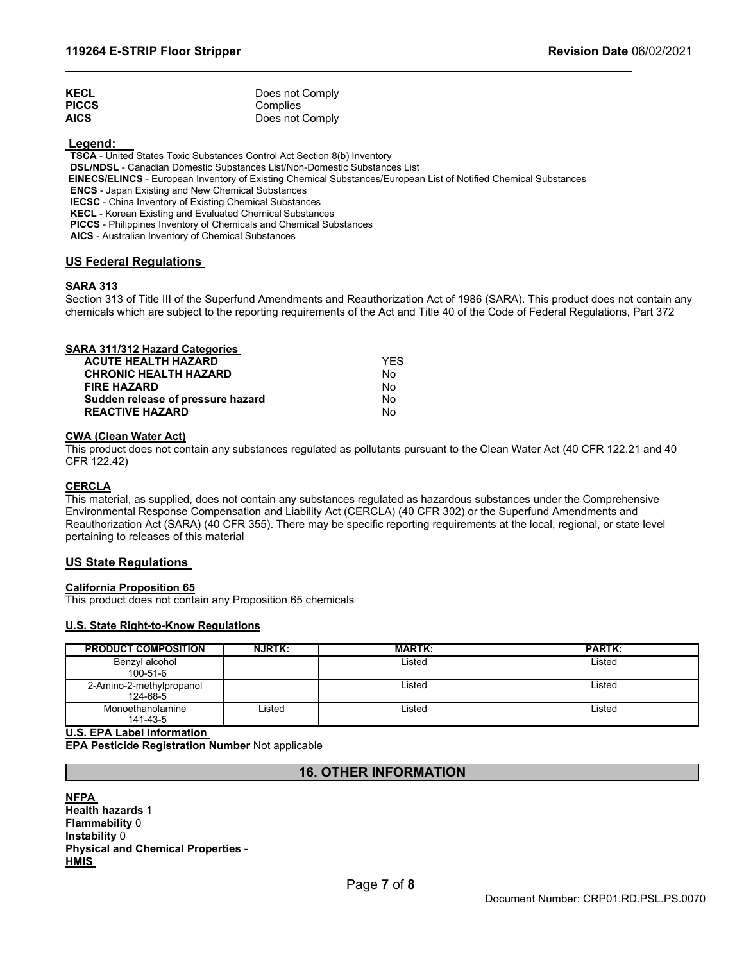| <b>KECL</b>  | Does not Comply |
|--------------|-----------------|
| <b>PICCS</b> | Complies        |
| AICS         | Does not Comply |

**Legend:**

**TSCA** - United States Toxic Substances Control Act Section 8(b) Inventory **DSL/NDSL** - Canadian Domestic Substances List/Non-Domestic Substances List **EINECS/ELINCS** - European Inventory of Existing Chemical Substances/European List of Notified Chemical Substances **ENCS** - Japan Existing and New Chemical Substances **IECSC** - China Inventory of Existing Chemical Substances **KECL** - Korean Existing and Evaluated Chemical Substances

**PICCS** - Philippines Inventory of Chemicals and Chemical Substances

**AICS** - Australian Inventory of Chemical Substances

#### **US Federal Regulations**

#### **SARA 313**

Section 313 of Title III of the Superfund Amendments and Reauthorization Act of 1986 (SARA). This product does not contain any chemicals which are subject to the reporting requirements of the Act and Title 40 of the Code of Federal Regulations, Part 372

| SARA 311/312 Hazard Categories    |     |
|-----------------------------------|-----|
| <b>ACUTE HEALTH HAZARD</b>        | YFS |
| <b>CHRONIC HEALTH HAZARD</b>      | N∩  |
| <b>FIRE HAZARD</b>                | Nο  |
| Sudden release of pressure hazard | Nο  |
| <b>REACTIVE HAZARD</b>            | N٥  |
|                                   |     |

#### **CWA (Clean Water Act)**

This product does not contain any substances regulated as pollutants pursuant to the Clean Water Act (40 CFR 122.21 and 40 CFR 122.42)

#### **CERCLA**

This material, as supplied, does not contain any substances regulated as hazardous substances under the Comprehensive Environmental Response Compensation and Liability Act (CERCLA) (40 CFR 302) or the Superfund Amendments and Reauthorization Act (SARA) (40 CFR 355). There may be specific reporting requirements at the local, regional, or state level pertaining to releases of this material

#### **US State Regulations**

#### **California Proposition 65**

This product does not contain any Proposition 65 chemicals

#### **U.S. State Right-to-Know Regulations**

| <b>PRODUCT COMPOSITION</b>           | <b>NJRTK:</b> | <b>MARTK:</b> | <b>PARTK:</b> |
|--------------------------------------|---------------|---------------|---------------|
| Benzyl alcohol<br>$100 - 51 - 6$     |               | Listed        | Listed        |
| 2-Amino-2-methylpropanol<br>124-68-5 |               | Listed        | ∟isted        |
| Monoethanolamine<br>141-43-5         | Listed        | Listed        | _isted        |

#### **U.S. EPA Label Information**

**EPA Pesticide Registration Number** Not applicable

# **16. OTHER INFORMATION**

**NFPA Health hazards** 1 **Flammability** 0 **Instability** 0 **Physical and Chemical Properties** - **HMIS**